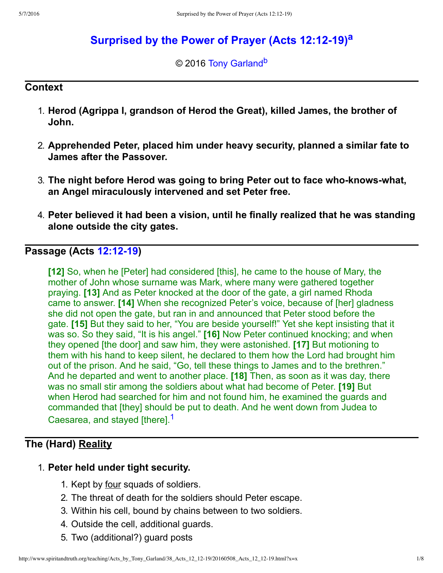# **[Surprised by the Power of Prayer \(Acts 12:1219\)](http://www.spiritandtruth.org/teaching/Acts_by_Tony_Garland/38_Acts_12_12-19/index.htm)[a](#page-7-0)**

<span id="page-0-2"></span><span id="page-0-1"></span>© 2016 [Tony Garland](http://www.spiritandtruth.org/id/tg.htm)<sup>[b](#page-7-1)</sup>

#### **Context**

- 1. **Herod (Agrippa I, grandson of Herod the Great), killed James, the brother of John.**
- 2. **Apprehended Peter, placed him under heavy security, planned a similar fate to James after the Passover.**
- 3. The night before Herod was going to bring Peter out to face who-knows-what, **an Angel miraculously intervened and set Peter free.**
- 4. **Peter believed it had been a vision, until he finally realized that he was standing alone outside the city gates.**

## **Passage (Acts [12:1219\)](http://www.spiritandtruth.org/bibles/nasb/b44c012.htm#Acts_C12V12)**

**[12]** So, when he [Peter] had considered [this], he came to the house of Mary, the mother of John whose surname was Mark, where many were gathered together praying. **[13]** And as Peter knocked at the door of the gate, a girl named Rhoda came to answer. **[14]** When she recognized Peter's voice, because of [her] gladness she did not open the gate, but ran in and announced that Peter stood before the gate. **[15]** But they said to her, "You are beside yourself!" Yet she kept insisting that it was so. So they said, "It is his angel." **[16]** Now Peter continued knocking; and when they opened [the door] and saw him, they were astonished. **[17]** But motioning to them with his hand to keep silent, he declared to them how the Lord had brought him out of the prison. And he said, "Go, tell these things to James and to the brethren." And he departed and went to another place. **[18]** Then, as soon as it was day, there was no small stir among the soldiers about what had become of Peter. **[19]** But when Herod had searched for him and not found him, he examined the guards and commanded that [they] should be put to death. And he went down from Judea to Caesarea, and stayed [there].<sup>[1](#page-6-0)</sup>

# **The (Hard) Reality**

### 1. **Peter held under tight security.**

- <span id="page-0-0"></span>1. Kept by four squads of soldiers.
- 2. The threat of death for the soldiers should Peter escape.
- 3. Within his cell, bound by chains between to two soldiers.
- 4. Outside the cell, additional guards.
- 5. Two (additional?) guard posts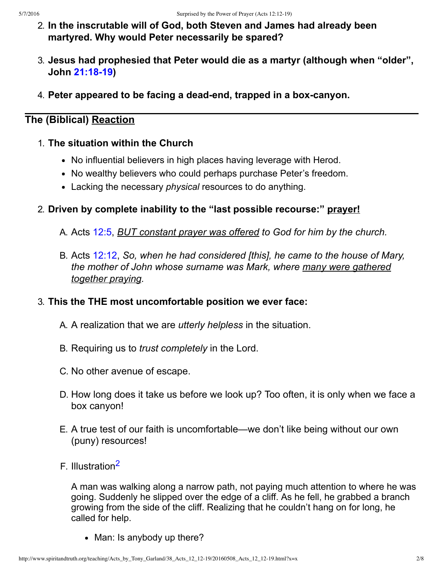- 2. **In the inscrutable will of God, both Steven and James had already been martyred. Why would Peter necessarily be spared?**
- 3. **Jesus had prophesied that Peter would die as a martyr (although when "older", John [21:1819](http://www.spiritandtruth.org/bibles/nasb/b43c021.htm#John_C21V18))**
- 4. Peter appeared to be facing a dead-end, trapped in a box-canyon.

# **The (Biblical) Reaction**

- 1. **The situation within the Church**
	- No influential believers in high places having leverage with Herod.
	- No wealthy believers who could perhaps purchase Peter's freedom.
	- Lacking the necessary *physical* resources to do anything.

## 2. **Driven by complete inability to the "last possible recourse:" prayer!**

- A. Acts [12:5](http://www.spiritandtruth.org/bibles/nasb/b44c012.htm#Acts_C12V5), *BUT constant prayer was offered to God for him by the church.*
- B. Acts [12:12,](http://www.spiritandtruth.org/bibles/nasb/b44c012.htm#Acts_C12V12) *So, when he had considered [this], he came to the house of Mary, the mother of John whose surname was Mark, where many were gathered together praying.*

## 3. **This the THE most uncomfortable position we ever face:**

- A. A realization that we are *utterly helpless* in the situation.
- B. Requiring us to *trust completely* in the Lord.
- C. No other avenue of escape.
- D. How long does it take us before we look up? Too often, it is only when we face a box canyon!
- E. A true test of our faith is uncomfortable—we don't like being without our own (puny) resources!
- F. Illustration[2](#page-6-1)

<span id="page-1-0"></span>A man was walking along a narrow path, not paying much attention to where he was going. Suddenly he slipped over the edge of a cliff. As he fell, he grabbed a branch growing from the side of the cliff. Realizing that he couldn't hang on for long, he called for help.

• Man: Is anybody up there?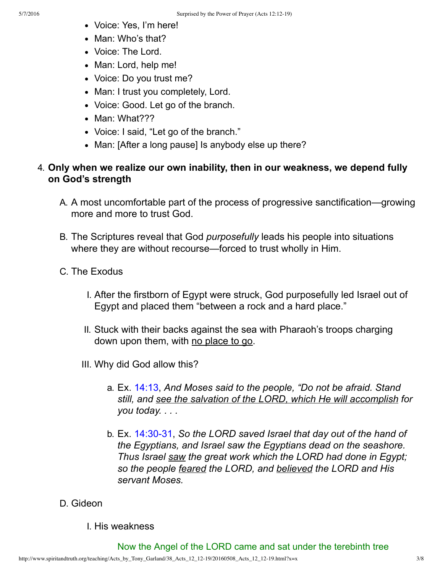- Voice: Yes, I'm here!
- Man: Who's that?
- Voice: The Lord.
- Man: Lord, help me!
- Voice: Do you trust me?
- Man: I trust you completely, Lord.
- Voice: Good. Let go of the branch.
- Man: What???
- Voice: I said, "Let go of the branch."
- Man: [After a long pause] Is anybody else up there?

## 4. **Only when we realize our own inability, then in our weakness, we depend fully on God's strength**

- A. A most uncomfortable part of the process of progressive sanctification—growing more and more to trust God.
- B. The Scriptures reveal that God *purposefully* leads his people into situations where they are without recourse—forced to trust wholly in Him.
- C. The Exodus
	- I. After the firstborn of Egypt were struck, God purposefully led Israel out of Egypt and placed them "between a rock and a hard place."
	- II. Stuck with their backs against the sea with Pharaoh's troops charging down upon them, with no place to go.
	- III. Why did God allow this?
		- a. Ex. [14:13](http://www.spiritandtruth.org/bibles/nasb/b02c014.htm#Ex._C14V13), *And Moses said to the people, "Do not be afraid. Stand still, and see the salvation of the LORD, which He will accomplish for you today. . . .*
		- b. Ex. 14:30-31, So the LORD saved Israel that day out of the hand of *the Egyptians, and Israel saw the Egyptians dead on the seashore. Thus Israel saw the great work which the LORD had done in Egypt; so the people feared the LORD, and believed the LORD and His servant Moses.*
- D. Gideon
	- I. His weakness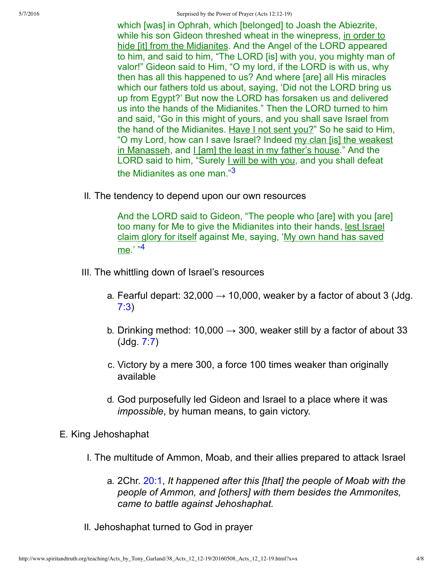5/7/2016 Surprised by the Power of Prayer (Acts 12:12-19)

which [was] in Ophrah, which [belonged] to Joash the Abiezrite, while his son Gideon threshed wheat in the winepress, in order to hide [it] from the Midianites. And the Angel of the LORD appeared to him, and said to him, "The LORD [is] with you, you mighty man of valor!" Gideon said to Him, "O my lord, if the LORD is with us, why then has all this happened to us? And where [are] all His miracles which our fathers told us about, saying, 'Did not the LORD bring us up from Egypt?' But now the LORD has forsaken us and delivered us into the hands of the Midianites." Then the LORD turned to him and said, "Go in this might of yours, and you shall save Israel from the hand of the Midianites. Have I not sent you?" So he said to Him, "O my Lord, how can I save Israel? Indeed my clan [is] the weakest in Manasseh, and I [am] the least in my father's house." And the LORD said to him, "Surely I will be with you, and you shall defeat the Midianites as one man."[3](#page-6-2)

II. The tendency to depend upon our own resources

<span id="page-3-1"></span><span id="page-3-0"></span>And the LORD said to Gideon, "The people who [are] with you [are] too many for Me to give the Midianites into their hands, lest Israel claim glory for itself against Me, saying, 'My own hand has saved me.' "[4](#page-7-2)

- III. The whittling down of Israel's resources
	- a. Fearful depart:  $32,000 \rightarrow 10,000$ , weaker by a factor of about 3 (Jdg. [7:3](http://www.spiritandtruth.org/bibles/nasb/b07c007.htm#Jdg._C7V3))
	- b. Drinking method: 10,000  $\rightarrow$  300, weaker still by a factor of about 33 (Jdg. [7:7](http://www.spiritandtruth.org/bibles/nasb/b07c007.htm#Jdg._C7V7))
	- c. Victory by a mere 300, a force 100 times weaker than originally available
	- d. God purposefully led Gideon and Israel to a place where it was *impossible*, by human means, to gain victory.
- E. King Jehoshaphat
	- I. The multitude of Ammon, Moab, and their allies prepared to attack Israel
		- a. 2Chr. [20:1](http://www.spiritandtruth.org/bibles/nasb/b14c020.htm#2Chr._C20V1), *It happened after this [that] the people of Moab with the people of Ammon, and [others] with them besides the Ammonites, came to battle against Jehoshaphat.*
	- II. Jehoshaphat turned to God in prayer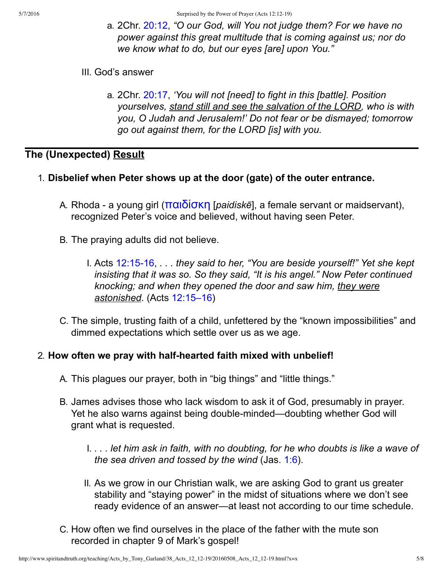- a. 2Chr. [20:12,](http://www.spiritandtruth.org/bibles/nasb/b14c020.htm#2Chr._C20V12) *"O our God, will You not judge them? For we have no power against this great multitude that is coming against us; nor do we know what to do, but our eyes [are] upon You."*
- III. God's answer
	- a. 2Chr. [20:17,](http://www.spiritandtruth.org/bibles/nasb/b14c020.htm#2Chr._C20V17) *'You will not [need] to fight in this [battle]. Position yourselves, stand still and see the salvation of the LORD, who is with you, O Judah and Jerusalem!' Do not fear or be dismayed; tomorrow go out against them, for the LORD [is] with you.*

# **The (Unexpected) Result**

- 1. **Disbelief when Peter shows up at the door (gate) of the outer entrance.**
	- A. Rhoda a young girl (**παιδίσκη** [*paidiskē*], a female servant or maidservant), recognized Peter's voice and believed, without having seen Peter.
	- B. The praying adults did not believe.
		- I. Acts 12:15-16, . . . they said to her, "You are beside yourself!" Yet she kept *insisting that it was so. So they said, "It is his angel." Now Peter continued knocking; and when they opened the door and saw him, they were astonished*. (Acts [12:15–16](http://www.spiritandtruth.org/bibles/nasb/b44c012.htm#Acts_C12V15))
	- C. The simple, trusting faith of a child, unfettered by the "known impossibilities" and dimmed expectations which settle over us as we age.

### 2. How often we pray with half-hearted faith mixed with unbelief!

- A. This plagues our prayer, both in "big things" and "little things."
- B. James advises those who lack wisdom to ask it of God, presumably in prayer. Yet he also warns against being double-minded—doubting whether God will grant what is requested.
	- I. *. . . let him ask in faith, with no doubting, for he who doubts is like a wave of the sea driven and tossed by the wind* (Jas. [1:6](http://www.spiritandtruth.org/bibles/nasb/b59c001.htm#Jas._C1V6)).
	- II. As we grow in our Christian walk, we are asking God to grant us greater stability and "staying power" in the midst of situations where we don't see ready evidence of an answer—at least not according to our time schedule.
- C. How often we find ourselves in the place of the father with the mute son recorded in chapter 9 of Mark's gospel!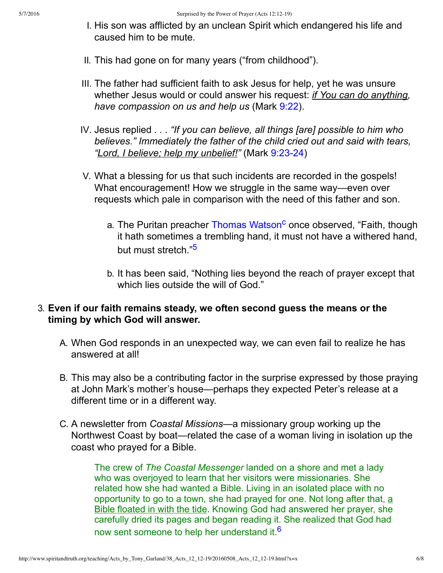- I. His son was afflicted by an unclean Spirit which endangered his life and caused him to be mute.
- II. This had gone on for many years ("from childhood").
- III. The father had sufficient faith to ask Jesus for help, yet he was unsure whether Jesus would or could answer his request: *if You can do anything, have compassion on us and help us* (Mark [9:22\)](http://www.spiritandtruth.org/bibles/nasb/b41c009.htm#Mark_C9V22).
- IV. Jesus replied *. . . "If you can believe, all things [are] possible to him who believes." Immediately the father of the child cried out and said with tears,* "Lord, I believe; help my unbelief!" (Mark 9:23-24)
- <span id="page-5-2"></span><span id="page-5-0"></span>V. What a blessing for us that such incidents are recorded in the gospels! What encouragement! How we struggle in the same way—even over requests which pale in comparison with the need of this father and son.
	- a. The Puritan preacher [Thomas Watson](https://en.wikipedia.org/wiki/Thomas_Watson_%28Puritan%29)<sup>[c](#page-7-3)</sup> once observed, "Faith, though it hath sometimes a trembling hand, it must not have a withered hand, but must stretch."<sup>[5](#page-7-4)</sup>
	- b. It has been said, "Nothing lies beyond the reach of prayer except that which lies outside the will of God."

### 3. **Even if our faith remains steady, we often second guess the means or the timing by which God will answer.**

- A. When God responds in an unexpected way, we can even fail to realize he has answered at all!
- B. This may also be a contributing factor in the surprise expressed by those praying at John Mark's mother's house—perhaps they expected Peter's release at a different time or in a different way.
- C. A newsletter from *Coastal Missions*—a missionary group working up the Northwest Coast by boat—related the case of a woman living in isolation up the coast who prayed for a Bible.

<span id="page-5-1"></span>The crew of *The Coastal Messenger* landed on a shore and met a lady who was overjoyed to learn that her visitors were missionaries. She related how she had wanted a Bible. Living in an isolated place with no opportunity to go to a town, she had prayed for one. Not long after that, a Bible floated in with the tide. Knowing God had answered her prayer, she carefully dried its pages and began reading it. She realized that God had now sent someone to help her understand it.<sup>[6](#page-7-5)</sup>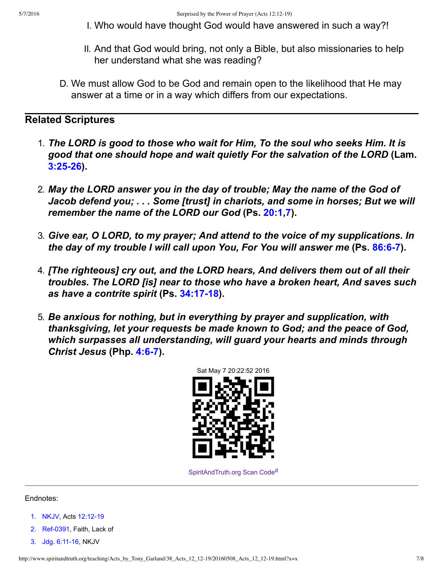- I. Who would have thought God would have answered in such a way?!
- II. And that God would bring, not only a Bible, but also missionaries to help her understand what she was reading?
- D. We must allow God to be God and remain open to the likelihood that He may answer at a time or in a way which differs from our expectations.

#### **Related Scriptures**

- 1. *The LORD is good to those who wait for Him, To the soul who seeks Him. It is good that one should hope and wait quietly For the salvation of the LORD* **(Lam. [3:2526\)](http://www.spiritandtruth.org/bibles/nasb/b25c003.htm#Lam._C3V25).**
- 2. *May the LORD answer you in the day of trouble; May the name of the God of Jacob defend you; . . . Some [trust] in chariots, and some in horses; But we will remember the name of the LORD our God* **(Ps. [20:1](http://www.spiritandtruth.org/bibles/nasb/b19c020.htm#Ps._C20V1),[7\)](http://www.spiritandtruth.org/bibles/nasb/b19c020.htm#Ps._C20V7).**
- 3. *Give ear, O LORD, to my prayer; And attend to the voice of my supplications. In the day of my trouble I will call upon You, For You will answer me* **(Ps. [86:67\)](http://www.spiritandtruth.org/bibles/nasb/b19c086.htm#Ps._C86V6).**
- 4. *[The righteous] cry out, and the LORD hears, And delivers them out of all their troubles. The LORD [is] near to those who have a broken heart, And saves such* **as have a contrite spirit (Ps. 34:17-18).**
- 5. *Be anxious for nothing, but in everything by prayer and supplication, with thanksgiving, let your requests be made known to God; and the peace of God, which surpasses all understanding, will guard your hearts and minds through Christ Jesus (Php. 4:6-7).*



<span id="page-6-3"></span>[SpiritAndTruth.org Scan Code](http://www.spiritandtruth.org/)<sup>[d](#page-7-6)</sup>

#### Endnotes:

- <span id="page-6-0"></span>[1.](#page-0-0) [NKJV,](#page-7-7) Acts 12:12-19
- <span id="page-6-1"></span>[2.](#page-1-0) Ref-0391, Faith, Lack of
- <span id="page-6-2"></span>[3.](#page-3-0) Jdg. 6:11-16, NKJV